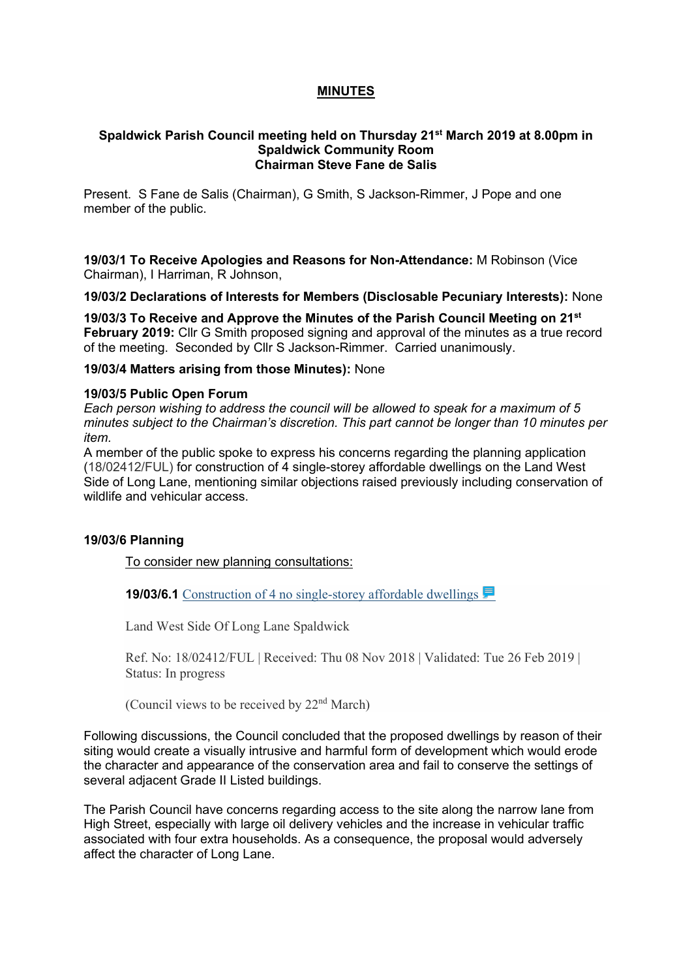# **MINUTES**

#### **Spaldwick Parish Council meeting held on Thursday 21st March 2019 at 8.00pm in Spaldwick Community Room Chairman Steve Fane de Salis**

Present. S Fane de Salis (Chairman), G Smith, S Jackson-Rimmer, J Pope and one member of the public.

**19/03/1 To Receive Apologies and Reasons for Non-Attendance:** M Robinson (Vice Chairman), I Harriman, R Johnson,

**19/03/2 Declarations of Interests for Members (Disclosable Pecuniary Interests):** None

**19/03/3 To Receive and Approve the Minutes of the Parish Council Meeting on 21st February 2019:** Cllr G Smith proposed signing and approval of the minutes as a true record of the meeting. Seconded by Cllr S Jackson-Rimmer. Carried unanimously.

#### **19/03/4 Matters arising from those Minutes):** None

#### **19/03/5 Public Open Forum**

*Each person wishing to address the council will be allowed to speak for a maximum of 5 minutes subject to the Chairman's discretion. This part cannot be longer than 10 minutes per item.* 

A member of the public spoke to express his concerns regarding the planning application (18/02412/FUL) for construction of 4 single-storey affordable dwellings on the Land West Side of Long Lane, mentioning similar objections raised previously including conservation of wildlife and vehicular access.

# **19/03/6 Planning**

To consider new planning consultations:

**19/03/6.1** Construction of 4 no single-storey affordable dwellings

Land West Side Of Long Lane Spaldwick

Ref. No: 18/02412/FUL | Received: Thu 08 Nov 2018 | Validated: Tue 26 Feb 2019 | Status: In progress

(Council views to be received by  $22<sup>nd</sup> March$ )

Following discussions, the Council concluded that the proposed dwellings by reason of their siting would create a visually intrusive and harmful form of development which would erode the character and appearance of the conservation area and fail to conserve the settings of several adjacent Grade II Listed buildings.

The Parish Council have concerns regarding access to the site along the narrow lane from High Street, especially with large oil delivery vehicles and the increase in vehicular traffic associated with four extra households. As a consequence, the proposal would adversely affect the character of Long Lane.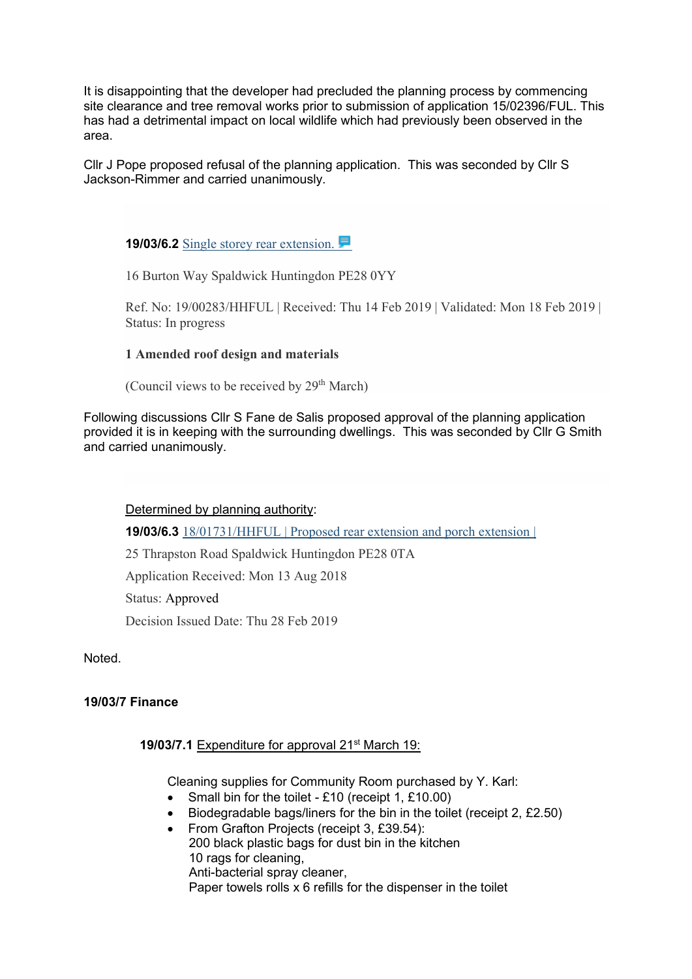It is disappointing that the developer had precluded the planning process by commencing site clearance and tree removal works prior to submission of application 15/02396/FUL. This has had a detrimental impact on local wildlife which had previously been observed in the area.

Cllr J Pope proposed refusal of the planning application. This was seconded by Cllr S Jackson-Rimmer and carried unanimously.

**19/03/6.2** [Single storey rear extension.](https://publicaccess.huntingdonshire.gov.uk/online-applications/applicationDetails.do?keyVal=PMX031IKJO700&activeTab=summary) 

16 Burton Way Spaldwick Huntingdon PE28 0YY

Ref. No: 19/00283/HHFUL | Received: Thu 14 Feb 2019 | Validated: Mon 18 Feb 2019 | Status: In progress

# **1 Amended roof design and materials**

(Council views to be received by  $29<sup>th</sup> March$ )

Following discussions Cllr S Fane de Salis proposed approval of the planning application provided it is in keeping with the surrounding dwellings. This was seconded by Cllr G Smith and carried unanimously.

Determined by planning authority:

**19/03/6.3** 18/01731/HHFUL | Proposed rear extension and porch extension |

25 Thrapston Road Spaldwick Huntingdon PE28 0TA

Application Received: Mon 13 Aug 2018

Status: Approved

Decision Issued Date: Thu 28 Feb 2019

Noted.

# **19/03/7 Finance**

# **19/03/7.1** Expenditure for approval 21st March 19:

Cleaning supplies for Community Room purchased by Y. Karl:

- Small bin for the toilet £10 (receipt 1, £10.00)
- Biodegradable bags/liners for the bin in the toilet (receipt 2, £2.50)
- From Grafton Projects (receipt 3, £39.54):

 200 black plastic bags for dust bin in the kitchen 10 rags for cleaning, Anti-bacterial spray cleaner, Paper towels rolls x 6 refills for the dispenser in the toilet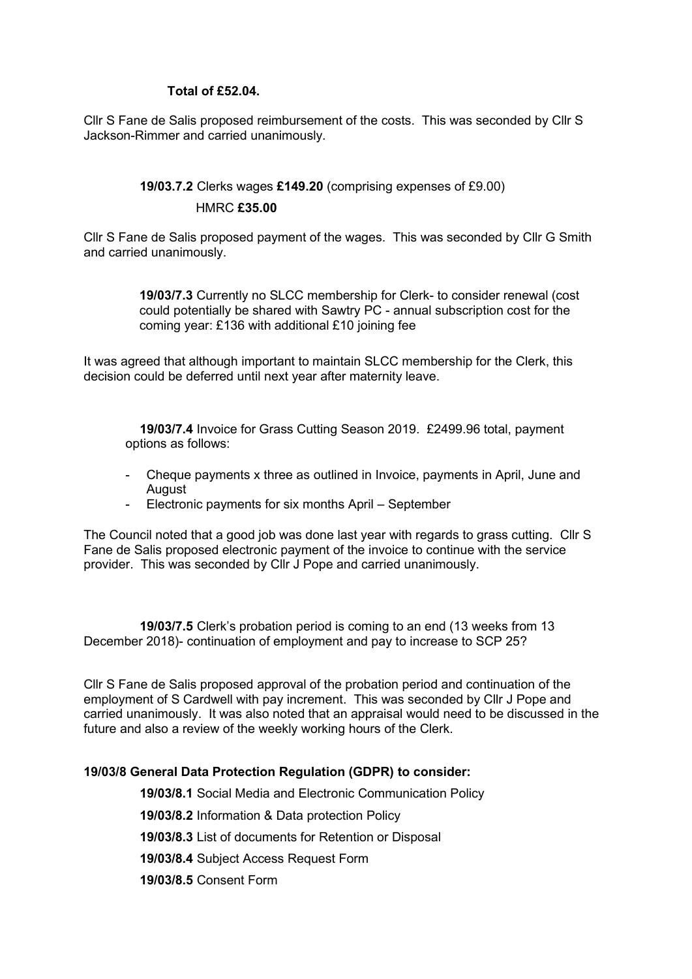#### **Total of £52.04.**

Cllr S Fane de Salis proposed reimbursement of the costs. This was seconded by Cllr S Jackson-Rimmer and carried unanimously.

# **19/03.7.2** Clerks wages **£149.20** (comprising expenses of £9.00) HMRC **£35.00**

Cllr S Fane de Salis proposed payment of the wages. This was seconded by Cllr G Smith and carried unanimously.

> **19/03/7.3** Currently no SLCC membership for Clerk- to consider renewal (cost could potentially be shared with Sawtry PC - annual subscription cost for the coming year: £136 with additional £10 joining fee

It was agreed that although important to maintain SLCC membership for the Clerk, this decision could be deferred until next year after maternity leave.

 **19/03/7.4** Invoice for Grass Cutting Season 2019. £2499.96 total, payment options as follows:

- Cheque payments x three as outlined in Invoice, payments in April, June and **August**
- Electronic payments for six months April September

The Council noted that a good job was done last year with regards to grass cutting. Cllr S Fane de Salis proposed electronic payment of the invoice to continue with the service provider. This was seconded by Cllr J Pope and carried unanimously.

 **19/03/7.5** Clerk's probation period is coming to an end (13 weeks from 13 December 2018)- continuation of employment and pay to increase to SCP 25?

Cllr S Fane de Salis proposed approval of the probation period and continuation of the employment of S Cardwell with pay increment. This was seconded by Cllr J Pope and carried unanimously. It was also noted that an appraisal would need to be discussed in the future and also a review of the weekly working hours of the Clerk.

# **19/03/8 General Data Protection Regulation (GDPR) to consider:**

**19/03/8.1** Social Media and Electronic Communication Policy

 **19/03/8.2** Information & Data protection Policy

 **19/03/8.3** List of documents for Retention or Disposal

 **19/03/8.4** Subject Access Request Form

 **19/03/8.5** Consent Form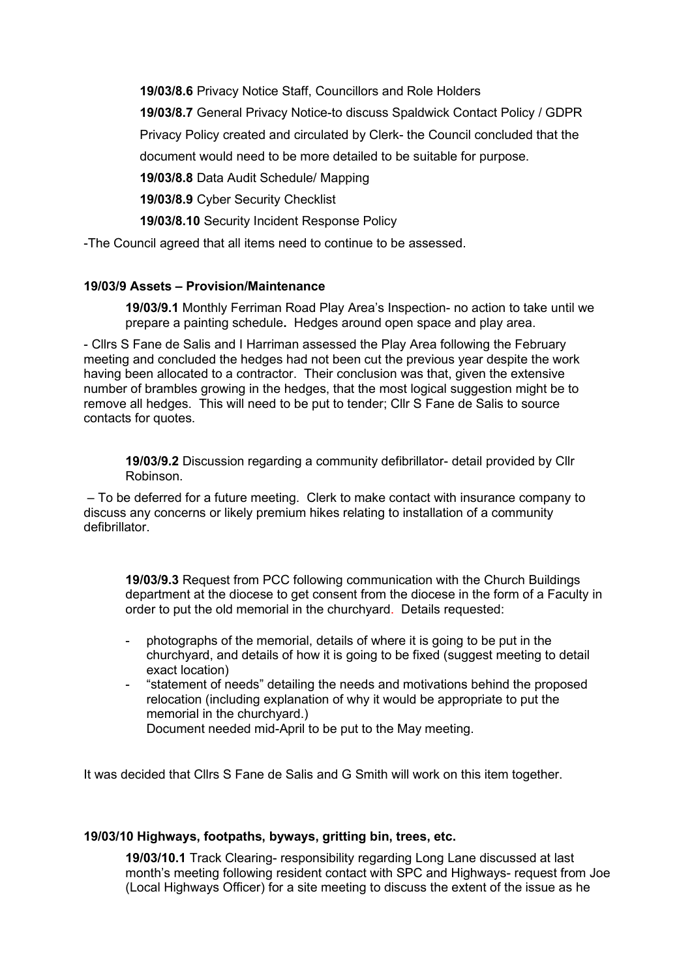**19/03/8.6** Privacy Notice Staff, Councillors and Role Holders

 **19/03/8.7** General Privacy Notice-to discuss Spaldwick Contact Policy / GDPR

Privacy Policy created and circulated by Clerk- the Council concluded that the

document would need to be more detailed to be suitable for purpose.

 **19/03/8.8** Data Audit Schedule/ Mapping

 **19/03/8.9** Cyber Security Checklist

 **19/03/8.10** Security Incident Response Policy

-The Council agreed that all items need to continue to be assessed.

# **19/03/9 Assets – Provision/Maintenance**

**19/03/9.1** Monthly Ferriman Road Play Area's Inspection- no action to take until we prepare a painting schedule**.** Hedges around open space and play area.

- Cllrs S Fane de Salis and I Harriman assessed the Play Area following the February meeting and concluded the hedges had not been cut the previous year despite the work having been allocated to a contractor. Their conclusion was that, given the extensive number of brambles growing in the hedges, that the most logical suggestion might be to remove all hedges. This will need to be put to tender; Cllr S Fane de Salis to source contacts for quotes.

**19/03/9.2** Discussion regarding a community defibrillator- detail provided by Cllr Robinson.

– To be deferred for a future meeting. Clerk to make contact with insurance company to discuss any concerns or likely premium hikes relating to installation of a community defibrillator.

**19/03/9.3** Request from PCC following communication with the Church Buildings department at the diocese to get consent from the diocese in the form of a Faculty in order to put the old memorial in the churchyard. Details requested:

- photographs of the memorial, details of where it is going to be put in the churchyard, and details of how it is going to be fixed (suggest meeting to detail exact location)
- "statement of needs" detailing the needs and motivations behind the proposed relocation (including explanation of why it would be appropriate to put the memorial in the churchyard.)

Document needed mid-April to be put to the May meeting.

It was decided that Cllrs S Fane de Salis and G Smith will work on this item together.

# **19/03/10 Highways, footpaths, byways, gritting bin, trees, etc.**

**19/03/10.1** Track Clearing- responsibility regarding Long Lane discussed at last month's meeting following resident contact with SPC and Highways- request from Joe (Local Highways Officer) for a site meeting to discuss the extent of the issue as he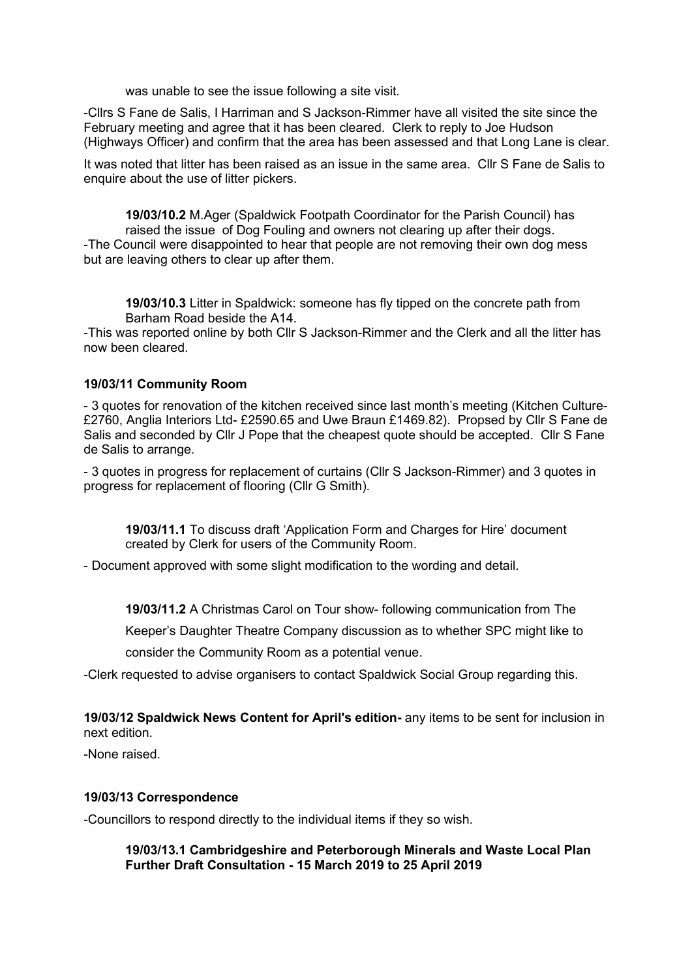was unable to see the issue following a site visit.

-Cllrs S Fane de Salis, I Harriman and S Jackson-Rimmer have all visited the site since the February meeting and agree that it has been cleared. Clerk to reply to Joe Hudson (Highways Officer) and confirm that the area has been assessed and that Long Lane is clear.

It was noted that litter has been raised as an issue in the same area. Cllr S Fane de Salis to enquire about the use of litter pickers.

**19/03/10.2** M.Ager (Spaldwick Footpath Coordinator for the Parish Council) has raised the issue of Dog Fouling and owners not clearing up after their dogs. -The Council were disappointed to hear that people are not removing their own dog mess but are leaving others to clear up after them.

**19/03/10.3** Litter in Spaldwick: someone has fly tipped on the concrete path from Barham Road beside the A14.

-This was reported online by both Cllr S Jackson-Rimmer and the Clerk and all the litter has now been cleared.

#### **19/03/11 Community Room**

- 3 quotes for renovation of the kitchen received since last month's meeting (Kitchen Culture- £2760, Anglia Interiors Ltd- £2590.65 and Uwe Braun £1469.82). Propsed by Cllr S Fane de Salis and seconded by Cllr J Pope that the cheapest quote should be accepted. Cllr S Fane de Salis to arrange.

- 3 quotes in progress for replacement of curtains (Cllr S Jackson-Rimmer) and 3 quotes in progress for replacement of flooring (Cllr G Smith).

**19/03/11.1** To discuss draft 'Application Form and Charges for Hire' document created by Clerk for users of the Community Room.

- Document approved with some slight modification to the wording and detail.

**19/03/11.2** A Christmas Carol on Tour show- following communication from The

Keeper's Daughter Theatre Company discussion as to whether SPC might like to consider the Community Room as a potential venue.

-Clerk requested to advise organisers to contact Spaldwick Social Group regarding this.

**19/03/12 Spaldwick News Content for April's edition-** any items to be sent for inclusion in next edition.

-None raised.

#### **19/03/13 Correspondence**

-Councillors to respond directly to the individual items if they so wish.

**19/03/13.1 Cambridgeshire and Peterborough Minerals and Waste Local Plan Further Draft Consultation - 15 March 2019 to 25 April 2019**